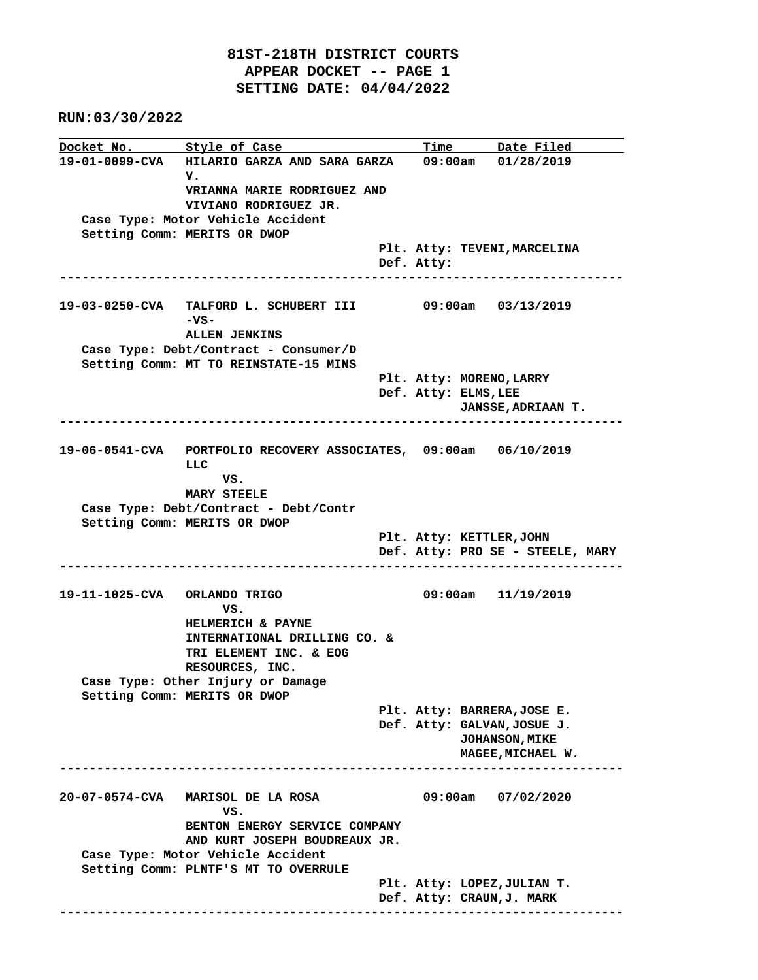**RUN:03/30/2022**

**Docket No.** Style of Case Time Date Filed **19-01-0099-CVA HILARIO GARZA AND SARA GARZA 09:00am 01/28/2019 V. VRIANNA MARIE RODRIGUEZ AND VIVIANO RODRIGUEZ JR. Case Type: Motor Vehicle Accident Setting Comm: MERITS OR DWOP Plt. Atty: TEVENI,MARCELINA Def. Atty: ---------------------------------------------------------------------------- 19-03-0250-CVA TALFORD L. SCHUBERT III 09:00am 03/13/2019 -VS- ALLEN JENKINS Case Type: Debt/Contract - Consumer/D Setting Comm: MT TO REINSTATE-15 MINS Plt. Atty: MORENO,LARRY Def. Atty: ELMS,LEE JANSSE,ADRIAAN T. ---------------------------------------------------------------------------- 19-06-0541-CVA PORTFOLIO RECOVERY ASSOCIATES, 09:00am 06/10/2019**  $L.L.C.$  **VS. MARY STEELE Case Type: Debt/Contract - Debt/Contr Setting Comm: MERITS OR DWOP Plt. Atty: KETTLER,JOHN Def. Atty: PRO SE - STEELE, MARY ---------------------------------------------------------------------------- 19-11-1025-CVA ORLANDO TRIGO 09:00am 11/19/2019 VS. HELMERICH & PAYNE INTERNATIONAL DRILLING CO. & TRI ELEMENT INC. & EOG RESOURCES, INC. Case Type: Other Injury or Damage Setting Comm: MERITS OR DWOP Plt. Atty: BARRERA,JOSE E. Def. Atty: GALVAN,JOSUE J. JOHANSON,MIKE MAGEE,MICHAEL W. ---------------------------------------------------------------------------- 20-07-0574-CVA MARISOL DE LA ROSA 09:00am 07/02/2020** *VS.* **VS. BENTON ENERGY SERVICE COMPANY AND KURT JOSEPH BOUDREAUX JR. Case Type: Motor Vehicle Accident Setting Comm: PLNTF'S MT TO OVERRULE Plt. Atty: LOPEZ,JULIAN T. Def. Atty: CRAUN,J. MARK ----------------------------------------------------------------------------**